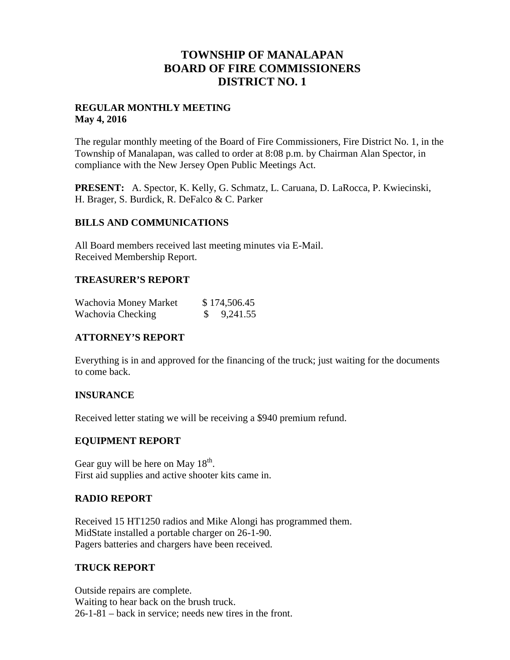## **TOWNSHIP OF MANALAPAN BOARD OF FIRE COMMISSIONERS DISTRICT NO. 1**

## **REGULAR MONTHLY MEETING May 4, 2016**

The regular monthly meeting of the Board of Fire Commissioners, Fire District No. 1, in the Township of Manalapan, was called to order at 8:08 p.m. by Chairman Alan Spector, in compliance with the New Jersey Open Public Meetings Act.

**PRESENT:** A. Spector, K. Kelly, G. Schmatz, L. Caruana, D. LaRocca, P. Kwiecinski, H. Brager, S. Burdick, R. DeFalco & C. Parker

## **BILLS AND COMMUNICATIONS**

All Board members received last meeting minutes via E-Mail. Received Membership Report.

## **TREASURER'S REPORT**

| Wachovia Money Market | \$174,506.45          |
|-----------------------|-----------------------|
| Wachovia Checking     | $\frac{\$}{9,241.55}$ |

## **ATTORNEY'S REPORT**

Everything is in and approved for the financing of the truck; just waiting for the documents to come back.

## **INSURANCE**

Received letter stating we will be receiving a \$940 premium refund.

## **EQUIPMENT REPORT**

Gear guy will be here on May  $18<sup>th</sup>$ . First aid supplies and active shooter kits came in.

## **RADIO REPORT**

Received 15 HT1250 radios and Mike Alongi has programmed them. MidState installed a portable charger on 26-1-90. Pagers batteries and chargers have been received.

#### **TRUCK REPORT**

Outside repairs are complete. Waiting to hear back on the brush truck. 26-1-81 – back in service; needs new tires in the front.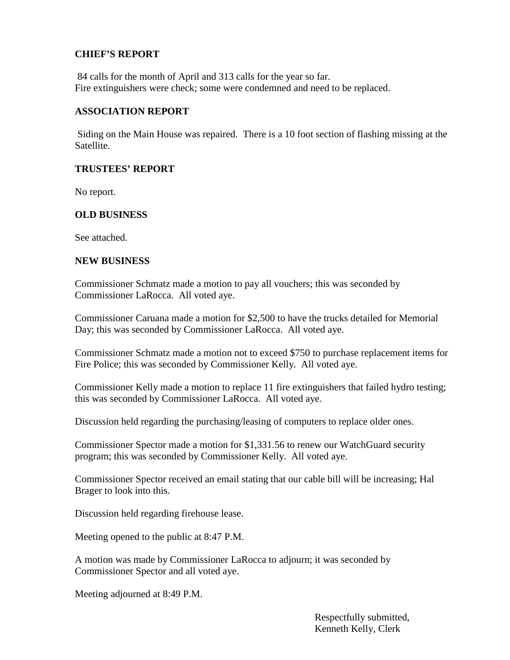## **CHIEF'S REPORT**

84 calls for the month of April and 313 calls for the year so far. Fire extinguishers were check; some were condemned and need to be replaced.

## **ASSOCIATION REPORT**

Siding on the Main House was repaired. There is a 10 foot section of flashing missing at the Satellite.

## **TRUSTEES' REPORT**

No report.

## **OLD BUSINESS**

See attached.

## **NEW BUSINESS**

Commissioner Schmatz made a motion to pay all vouchers; this was seconded by Commissioner LaRocca. All voted aye.

Commissioner Caruana made a motion for \$2,500 to have the trucks detailed for Memorial Day; this was seconded by Commissioner LaRocca. All voted aye.

Commissioner Schmatz made a motion not to exceed \$750 to purchase replacement items for Fire Police; this was seconded by Commissioner Kelly. All voted aye.

Commissioner Kelly made a motion to replace 11 fire extinguishers that failed hydro testing; this was seconded by Commissioner LaRocca. All voted aye.

Discussion held regarding the purchasing/leasing of computers to replace older ones.

Commissioner Spector made a motion for \$1,331.56 to renew our WatchGuard security program; this was seconded by Commissioner Kelly. All voted aye.

Commissioner Spector received an email stating that our cable bill will be increasing; Hal Brager to look into this.

Discussion held regarding firehouse lease.

Meeting opened to the public at 8:47 P.M.

A motion was made by Commissioner LaRocca to adjourn; it was seconded by Commissioner Spector and all voted aye.

Meeting adjourned at 8:49 P.M.

Respectfully submitted, Kenneth Kelly, Clerk